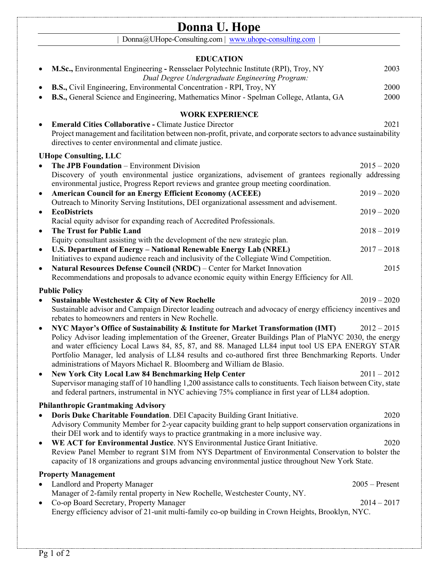|                  | Donna U. Hope                                                                                                                                                                                                                                                                                                                                                                                                             |                                   |  |
|------------------|---------------------------------------------------------------------------------------------------------------------------------------------------------------------------------------------------------------------------------------------------------------------------------------------------------------------------------------------------------------------------------------------------------------------------|-----------------------------------|--|
|                  | Donna@UHope-Consulting.com   www.uhope-consulting.com                                                                                                                                                                                                                                                                                                                                                                     |                                   |  |
| <b>EDUCATION</b> |                                                                                                                                                                                                                                                                                                                                                                                                                           |                                   |  |
|                  | M.Sc., Environmental Engineering - Rensselaer Polytechnic Institute (RPI), Troy, NY<br>Dual Degree Undergraduate Engineering Program:                                                                                                                                                                                                                                                                                     | 2003                              |  |
|                  | B.S., Civil Engineering, Environmental Concentration - RPI, Troy, NY<br>B.S., General Science and Engineering, Mathematics Minor - Spelman College, Atlanta, GA                                                                                                                                                                                                                                                           | 2000<br>2000                      |  |
|                  | <b>WORK EXPERIENCE</b>                                                                                                                                                                                                                                                                                                                                                                                                    |                                   |  |
|                  | <b>Emerald Cities Collaborative - Climate Justice Director</b><br>Project management and facilitation between non-profit, private, and corporate sectors to advance sustainability<br>directives to center environmental and climate justice.                                                                                                                                                                             | 2021                              |  |
|                  | <b>UHope Consulting, LLC</b>                                                                                                                                                                                                                                                                                                                                                                                              |                                   |  |
|                  | The JPB Foundation - Environment Division<br>Discovery of youth environmental justice organizations, advisement of grantees regionally addressing<br>environmental justice, Progress Report reviews and grantee group meeting coordination.                                                                                                                                                                               | $2015 - 2020$                     |  |
| $\bullet$        | <b>American Council for an Energy Efficient Economy (ACEEE)</b><br>Outreach to Minority Serving Institutions, DEI organizational assessment and advisement.                                                                                                                                                                                                                                                               | $2019 - 2020$                     |  |
|                  | <b>EcoDistricts</b>                                                                                                                                                                                                                                                                                                                                                                                                       | $2019 - 2020$                     |  |
|                  | Racial equity advisor for expanding reach of Accredited Professionals.<br><b>The Trust for Public Land</b>                                                                                                                                                                                                                                                                                                                | $2018 - 2019$                     |  |
| $\bullet$        | Equity consultant assisting with the development of the new strategic plan.<br>U.S. Department of Energy - National Renewable Energy Lab (NREL)<br>Initiatives to expand audience reach and inclusivity of the Collegiate Wind Competition.                                                                                                                                                                               | $2017 - 2018$                     |  |
| $\bullet$        | Natural Resources Defense Council (NRDC) - Center for Market Innovation<br>Recommendations and proposals to advance economic equity within Energy Efficiency for All.                                                                                                                                                                                                                                                     | 2015                              |  |
|                  | <b>Public Policy</b>                                                                                                                                                                                                                                                                                                                                                                                                      |                                   |  |
|                  | Sustainable Westchester & City of New Rochelle<br>Sustainable advisor and Campaign Director leading outreach and advocacy of energy efficiency incentives and<br>rebates to homeowners and renters in New Rochelle.                                                                                                                                                                                                       | $2019 - 2020$                     |  |
|                  | NYC Mayor's Office of Sustainability & Institute for Market Transformation (IMT)<br>$2012 - 2015$<br>Policy Advisor leading implementation of the Greener, Greater Buildings Plan of PlaNYC 2030, the energy<br>and water efficiency Local Laws 84, 85, 87, and 88. Managed LL84 input tool US EPA ENERGY STAR<br>Portfolio Manager, led analysis of LL84 results and co-authored first three Benchmarking Reports. Under |                                   |  |
| $\bullet$        | administrations of Mayors Michael R. Bloomberg and William de Blasio.                                                                                                                                                                                                                                                                                                                                                     |                                   |  |
|                  | <b>New York City Local Law 84 Benchmarking Help Center</b><br>$2011 - 2012$<br>Supervisor managing staff of 10 handling 1,200 assistance calls to constituents. Tech liaison between City, state<br>and federal partners, instrumental in NYC achieving 75% compliance in first year of LL84 adoption.                                                                                                                    |                                   |  |
|                  | <b>Philanthropic Grantmaking Advisory</b>                                                                                                                                                                                                                                                                                                                                                                                 |                                   |  |
|                  | Doris Duke Charitable Foundation. DEI Capacity Building Grant Initiative.<br>Advisory Community Member for 2-year capacity building grant to help support conservation organizations in<br>their DEI work and to identify ways to practice grantmaking in a more inclusive way.                                                                                                                                           | 2020                              |  |
|                  | WE ACT for Environmental Justice. NYS Environmental Justice Grant Initiative.<br>Review Panel Member to regrant \$1M from NYS Department of Environmental Conservation to bolster the<br>capacity of 18 organizations and groups advancing environmental justice throughout New York State.                                                                                                                               | 2020                              |  |
|                  | <b>Property Management</b>                                                                                                                                                                                                                                                                                                                                                                                                |                                   |  |
| $\bullet$        | Landlord and Property Manager<br>Manager of 2-family rental property in New Rochelle, Westchester County, NY.<br>Co-op Board Secretary, Property Manager                                                                                                                                                                                                                                                                  | $2005 -$ Present<br>$2014 - 2017$ |  |
|                  | Energy efficiency advisor of 21-unit multi-family co-op building in Crown Heights, Brooklyn, NYC.                                                                                                                                                                                                                                                                                                                         |                                   |  |